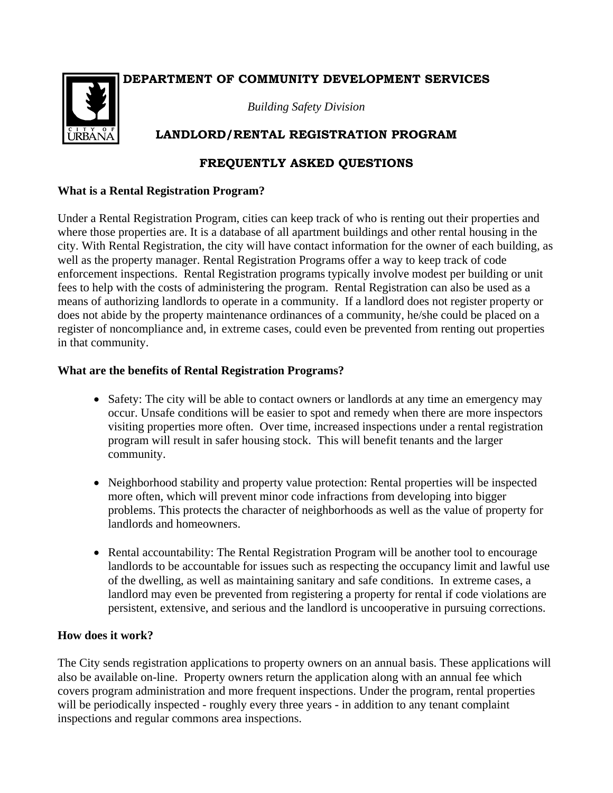## **DEPARTMENT OF COMMUNITY DEVELOPMENT SERVICES**



*Building Safety Division*

# **LANDLORD/RENTAL REGISTRATION PROGRAM**

## **FREQUENTLY ASKED QUESTIONS**

#### **What is a Rental Registration Program?**

Under a Rental Registration Program, cities can keep track of who is renting out their properties and where those properties are. It is a database of all apartment buildings and other rental housing in the city. With Rental Registration, the city will have contact information for the owner of each building, as well as the property manager. Rental Registration Programs offer a way to keep track of code enforcement inspections. Rental Registration programs typically involve modest per building or unit fees to help with the costs of administering the program. Rental Registration can also be used as a means of authorizing landlords to operate in a community. If a landlord does not register property or does not abide by the property maintenance ordinances of a community, he/she could be placed on a register of noncompliance and, in extreme cases, could even be prevented from renting out properties in that community.

### **What are the benefits of Rental Registration Programs?**

- Safety: The city will be able to contact owners or landlords at any time an emergency may occur. Unsafe conditions will be easier to spot and remedy when there are more inspectors visiting properties more often. Over time, increased inspections under a rental registration program will result in safer housing stock. This will benefit tenants and the larger community.
- Neighborhood stability and property value protection: Rental properties will be inspected more often, which will prevent minor code infractions from developing into bigger problems. This protects the character of neighborhoods as well as the value of property for landlords and homeowners.
- Rental accountability: The Rental Registration Program will be another tool to encourage landlords to be accountable for issues such as respecting the occupancy limit and lawful use of the dwelling, as well as maintaining sanitary and safe conditions. In extreme cases, a landlord may even be prevented from registering a property for rental if code violations are persistent, extensive, and serious and the landlord is uncooperative in pursuing corrections.

#### **How does it work?**

The City sends registration applications to property owners on an annual basis. These applications will also be available on-line. Property owners return the application along with an annual fee which covers program administration and more frequent inspections. Under the program, rental properties will be periodically inspected - roughly every three years - in addition to any tenant complaint inspections and regular commons area inspections.